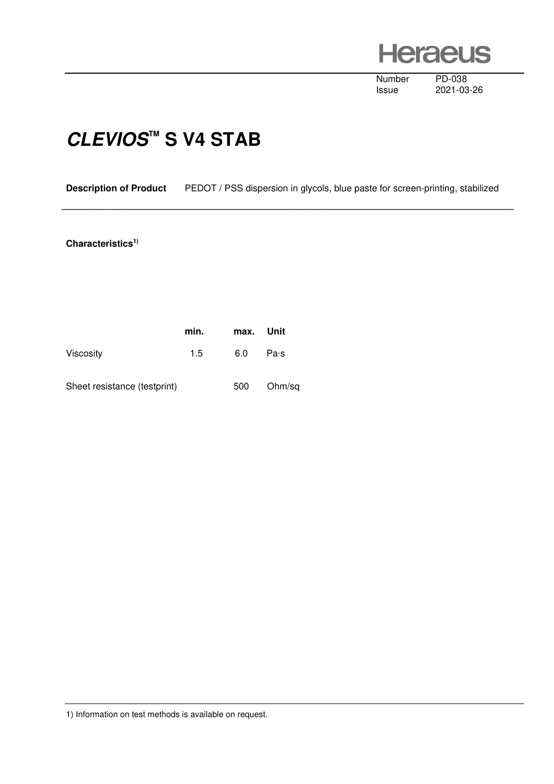**Heraeus** 

Number PD-038<br>Issue 2021-03

2021-03-26

## **CLEVIOS™ S V4 STAB**

**Description of Product** PEDOT / PSS dispersion in glycols, blue paste for screen-printing, stabilized

 **\_\_\_\_\_\_\_\_\_\_\_\_\_\_\_\_\_\_\_\_\_\_\_\_\_\_\_\_\_\_\_\_\_\_\_\_\_\_\_\_\_\_\_\_\_\_\_\_\_\_\_\_\_\_\_\_\_\_\_\_\_\_\_\_\_\_\_\_\_\_\_\_\_\_\_\_\_\_\_\_\_\_\_\_\_\_\_\_** 

## **Characteristics1)**

|                              | min. | max. Unit |        |
|------------------------------|------|-----------|--------|
| <b>Viscosity</b>             | 1.5  | 6.0       | Pa·s   |
| Sheet resistance (testprint) |      | 500       | Ohm/sq |

1) Information on test methods is available on request.